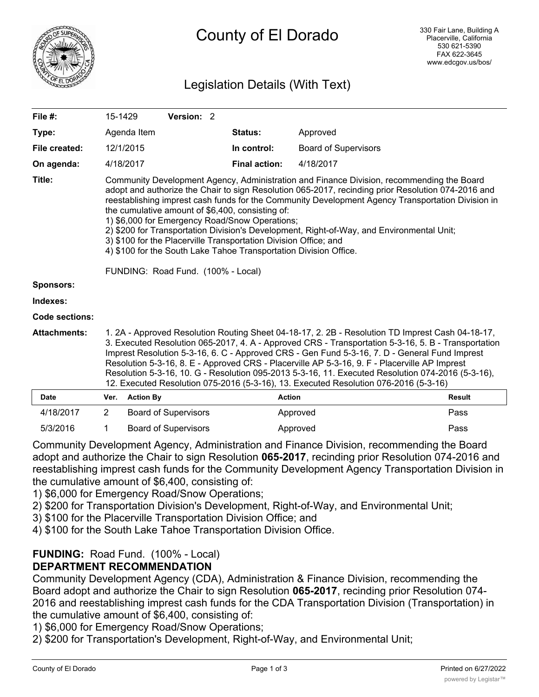

# Legislation Details (With Text)

| File #:               | 15-1429                                                                                                                                                                                                                                                                                                                                                                                                                                                                                                                                                                                                                                                                                |                  | Version: 2                                                                                                                                                                                                                                                                                                                                                                                                                                                                                 |  |                      |                             |               |
|-----------------------|----------------------------------------------------------------------------------------------------------------------------------------------------------------------------------------------------------------------------------------------------------------------------------------------------------------------------------------------------------------------------------------------------------------------------------------------------------------------------------------------------------------------------------------------------------------------------------------------------------------------------------------------------------------------------------------|------------------|--------------------------------------------------------------------------------------------------------------------------------------------------------------------------------------------------------------------------------------------------------------------------------------------------------------------------------------------------------------------------------------------------------------------------------------------------------------------------------------------|--|----------------------|-----------------------------|---------------|
| Type:                 |                                                                                                                                                                                                                                                                                                                                                                                                                                                                                                                                                                                                                                                                                        | Agenda Item      |                                                                                                                                                                                                                                                                                                                                                                                                                                                                                            |  | <b>Status:</b>       | Approved                    |               |
| File created:         |                                                                                                                                                                                                                                                                                                                                                                                                                                                                                                                                                                                                                                                                                        | 12/1/2015        |                                                                                                                                                                                                                                                                                                                                                                                                                                                                                            |  | In control:          | <b>Board of Supervisors</b> |               |
| On agenda:            |                                                                                                                                                                                                                                                                                                                                                                                                                                                                                                                                                                                                                                                                                        | 4/18/2017        |                                                                                                                                                                                                                                                                                                                                                                                                                                                                                            |  | <b>Final action:</b> | 4/18/2017                   |               |
| Title:                | Community Development Agency, Administration and Finance Division, recommending the Board<br>adopt and authorize the Chair to sign Resolution 065-2017, recinding prior Resolution 074-2016 and<br>reestablishing imprest cash funds for the Community Development Agency Transportation Division in<br>the cumulative amount of \$6,400, consisting of:<br>1) \$6,000 for Emergency Road/Snow Operations;<br>2) \$200 for Transportation Division's Development, Right-of-Way, and Environmental Unit;<br>3) \$100 for the Placerville Transportation Division Office; and<br>4) \$100 for the South Lake Tahoe Transportation Division Office.<br>FUNDING: Road Fund. (100% - Local) |                  |                                                                                                                                                                                                                                                                                                                                                                                                                                                                                            |  |                      |                             |               |
| <b>Sponsors:</b>      |                                                                                                                                                                                                                                                                                                                                                                                                                                                                                                                                                                                                                                                                                        |                  |                                                                                                                                                                                                                                                                                                                                                                                                                                                                                            |  |                      |                             |               |
| Indexes:              |                                                                                                                                                                                                                                                                                                                                                                                                                                                                                                                                                                                                                                                                                        |                  |                                                                                                                                                                                                                                                                                                                                                                                                                                                                                            |  |                      |                             |               |
| <b>Code sections:</b> |                                                                                                                                                                                                                                                                                                                                                                                                                                                                                                                                                                                                                                                                                        |                  |                                                                                                                                                                                                                                                                                                                                                                                                                                                                                            |  |                      |                             |               |
| <b>Attachments:</b>   | 1. 2A - Approved Resolution Routing Sheet 04-18-17, 2. 2B - Resolution TD Imprest Cash 04-18-17,<br>3. Executed Resolution 065-2017, 4. A - Approved CRS - Transportation 5-3-16, 5. B - Transportation<br>Imprest Resolution 5-3-16, 6. C - Approved CRS - Gen Fund 5-3-16, 7. D - General Fund Imprest<br>Resolution 5-3-16, 8. E - Approved CRS - Placerville AP 5-3-16, 9. F - Placerville AP Imprest<br>Resolution 5-3-16, 10. G - Resolution 095-2013 5-3-16, 11. Executed Resolution 074-2016 (5-3-16),<br>12. Executed Resolution 075-2016 (5-3-16), 13. Executed Resolution 076-2016 (5-3-16)                                                                                 |                  |                                                                                                                                                                                                                                                                                                                                                                                                                                                                                            |  |                      |                             |               |
| Date                  | Ver.                                                                                                                                                                                                                                                                                                                                                                                                                                                                                                                                                                                                                                                                                   | <b>Action By</b> |                                                                                                                                                                                                                                                                                                                                                                                                                                                                                            |  | <b>Action</b>        |                             | <b>Result</b> |
| 111010017             |                                                                                                                                                                                                                                                                                                                                                                                                                                                                                                                                                                                                                                                                                        |                  | $\blacksquare$ $\blacksquare$ $\blacksquare$ $\blacksquare$ $\blacksquare$ $\blacksquare$ $\blacksquare$ $\blacksquare$ $\blacksquare$ $\blacksquare$ $\blacksquare$ $\blacksquare$ $\blacksquare$ $\blacksquare$ $\blacksquare$ $\blacksquare$ $\blacksquare$ $\blacksquare$ $\blacksquare$ $\blacksquare$ $\blacksquare$ $\blacksquare$ $\blacksquare$ $\blacksquare$ $\blacksquare$ $\blacksquare$ $\blacksquare$ $\blacksquare$ $\blacksquare$ $\blacksquare$ $\blacksquare$ $\blacks$ |  |                      |                             |               |

| 4/18/2017                                                                                 |  | Board of Supervisors | Approved | Pass |  |  |  |  |
|-------------------------------------------------------------------------------------------|--|----------------------|----------|------|--|--|--|--|
| 5/3/2016                                                                                  |  | Board of Supervisors | Approved | Pass |  |  |  |  |
| Community Development Agency, Administration and Einance Division, recommending the Roard |  |                      |          |      |  |  |  |  |

Community Development Agency, Administration and Finance Division, recommending the Board adopt and authorize the Chair to sign Resolution **065-2017**, recinding prior Resolution 074-2016 and reestablishing imprest cash funds for the Community Development Agency Transportation Division in the cumulative amount of \$6,400, consisting of:

1) \$6,000 for Emergency Road/Snow Operations;

- 2) \$200 for Transportation Division's Development, Right-of-Way, and Environmental Unit;
- 3) \$100 for the Placerville Transportation Division Office; and
- 4) \$100 for the South Lake Tahoe Transportation Division Office.

## **FUNDING:** Road Fund. (100% - Local)

## **DEPARTMENT RECOMMENDATION**

Community Development Agency (CDA), Administration & Finance Division, recommending the Board adopt and authorize the Chair to sign Resolution **065-2017**, recinding prior Resolution 074- 2016 and reestablishing imprest cash funds for the CDA Transportation Division (Transportation) in the cumulative amount of \$6,400, consisting of:

1) \$6,000 for Emergency Road/Snow Operations;

2) \$200 for Transportation's Development, Right-of-Way, and Environmental Unit;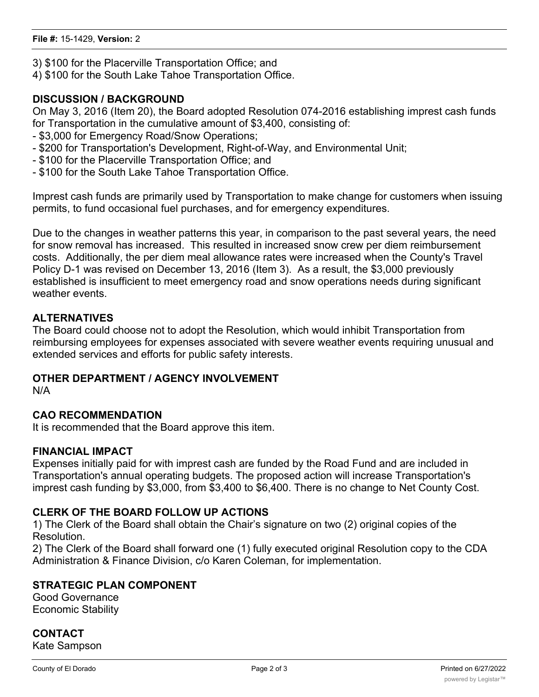- 3) \$100 for the Placerville Transportation Office; and
- 4) \$100 for the South Lake Tahoe Transportation Office.

### **DISCUSSION / BACKGROUND**

On May 3, 2016 (Item 20), the Board adopted Resolution 074-2016 establishing imprest cash funds for Transportation in the cumulative amount of \$3,400, consisting of:

- \$3,000 for Emergency Road/Snow Operations;
- \$200 for Transportation's Development, Right-of-Way, and Environmental Unit;
- \$100 for the Placerville Transportation Office; and
- \$100 for the South Lake Tahoe Transportation Office.

Imprest cash funds are primarily used by Transportation to make change for customers when issuing permits, to fund occasional fuel purchases, and for emergency expenditures.

Due to the changes in weather patterns this year, in comparison to the past several years, the need for snow removal has increased. This resulted in increased snow crew per diem reimbursement costs. Additionally, the per diem meal allowance rates were increased when the County's Travel Policy D-1 was revised on December 13, 2016 (Item 3). As a result, the \$3,000 previously established is insufficient to meet emergency road and snow operations needs during significant weather events.

### **ALTERNATIVES**

The Board could choose not to adopt the Resolution, which would inhibit Transportation from reimbursing employees for expenses associated with severe weather events requiring unusual and extended services and efforts for public safety interests.

#### **OTHER DEPARTMENT / AGENCY INVOLVEMENT**

N/A

#### **CAO RECOMMENDATION**

It is recommended that the Board approve this item.

#### **FINANCIAL IMPACT**

Expenses initially paid for with imprest cash are funded by the Road Fund and are included in Transportation's annual operating budgets. The proposed action will increase Transportation's imprest cash funding by \$3,000, from \$3,400 to \$6,400. There is no change to Net County Cost.

#### **CLERK OF THE BOARD FOLLOW UP ACTIONS**

1) The Clerk of the Board shall obtain the Chair's signature on two (2) original copies of the Resolution.

2) The Clerk of the Board shall forward one (1) fully executed original Resolution copy to the CDA Administration & Finance Division, c/o Karen Coleman, for implementation.

#### **STRATEGIC PLAN COMPONENT**

Good Governance Economic Stability

## **CONTACT**

Kate Sampson